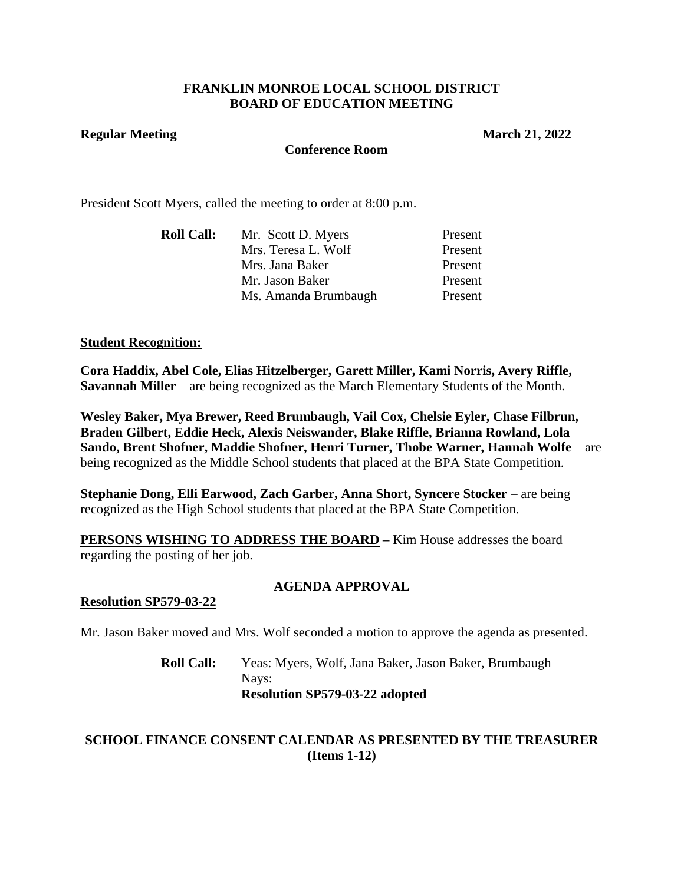## **FRANKLIN MONROE LOCAL SCHOOL DISTRICT BOARD OF EDUCATION MEETING**

#### **Regular Meeting March 21, 2022**

#### **Conference Room**

President Scott Myers, called the meeting to order at 8:00 p.m.

| Mr. Scott D. Myers   | Present |
|----------------------|---------|
| Mrs. Teresa L. Wolf  | Present |
| Mrs. Jana Baker      | Present |
| Mr. Jason Baker      | Present |
| Ms. Amanda Brumbaugh | Present |
|                      |         |

#### **Student Recognition:**

**Cora Haddix, Abel Cole, Elias Hitzelberger, Garett Miller, Kami Norris, Avery Riffle, Savannah Miller** – are being recognized as the March Elementary Students of the Month.

**Wesley Baker, Mya Brewer, Reed Brumbaugh, Vail Cox, Chelsie Eyler, Chase Filbrun, Braden Gilbert, Eddie Heck, Alexis Neiswander, Blake Riffle, Brianna Rowland, Lola Sando, Brent Shofner, Maddie Shofner, Henri Turner, Thobe Warner, Hannah Wolfe** – are being recognized as the Middle School students that placed at the BPA State Competition.

**Stephanie Dong, Elli Earwood, Zach Garber, Anna Short, Syncere Stocker** – are being recognized as the High School students that placed at the BPA State Competition.

**PERSONS WISHING TO ADDRESS THE BOARD – Kim House addresses the board** regarding the posting of her job.

#### **AGENDA APPROVAL**

#### **Resolution SP579-03-22**

Mr. Jason Baker moved and Mrs. Wolf seconded a motion to approve the agenda as presented.

# **Roll Call:** Yeas: Myers, Wolf, Jana Baker, Jason Baker, Brumbaugh Nays: **Resolution SP579-03-22 adopted**

# **SCHOOL FINANCE CONSENT CALENDAR AS PRESENTED BY THE TREASURER (Items 1-12)**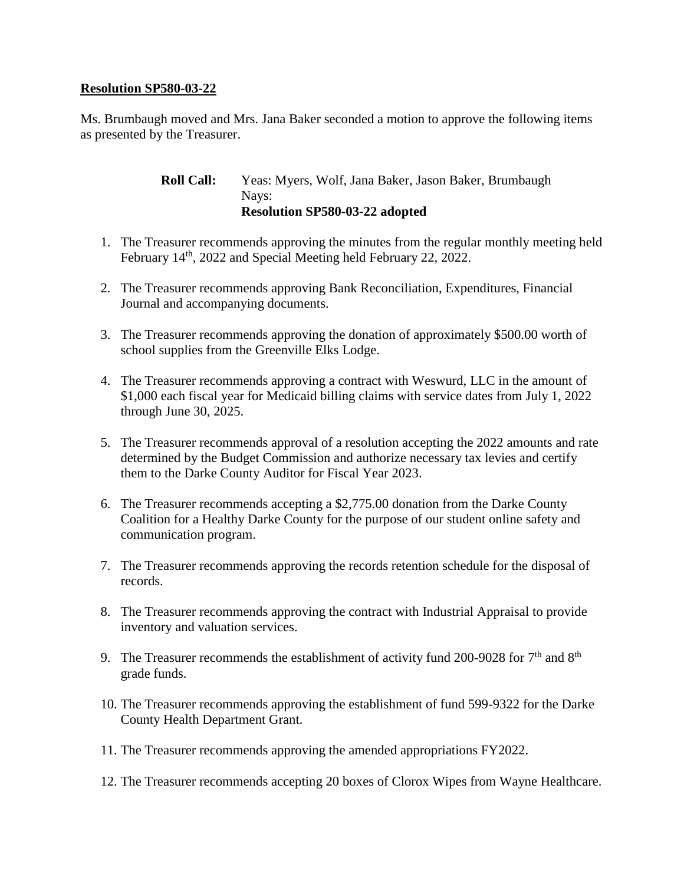## **Resolution SP580-03-22**

Ms. Brumbaugh moved and Mrs. Jana Baker seconded a motion to approve the following items as presented by the Treasurer.

> **Roll Call:** Yeas: Myers, Wolf, Jana Baker, Jason Baker, Brumbaugh Nays: **Resolution SP580-03-22 adopted**

- 1. The Treasurer recommends approving the minutes from the regular monthly meeting held February 14<sup>th</sup>, 2022 and Special Meeting held February 22, 2022.
- 2. The Treasurer recommends approving Bank Reconciliation, Expenditures, Financial Journal and accompanying documents.
- 3. The Treasurer recommends approving the donation of approximately \$500.00 worth of school supplies from the Greenville Elks Lodge.
- 4. The Treasurer recommends approving a contract with Weswurd, LLC in the amount of \$1,000 each fiscal year for Medicaid billing claims with service dates from July 1, 2022 through June 30, 2025.
- 5. The Treasurer recommends approval of a resolution accepting the 2022 amounts and rate determined by the Budget Commission and authorize necessary tax levies and certify them to the Darke County Auditor for Fiscal Year 2023.
- 6. The Treasurer recommends accepting a \$2,775.00 donation from the Darke County Coalition for a Healthy Darke County for the purpose of our student online safety and communication program.
- 7. The Treasurer recommends approving the records retention schedule for the disposal of records.
- 8. The Treasurer recommends approving the contract with Industrial Appraisal to provide inventory and valuation services.
- 9. The Treasurer recommends the establishment of activity fund 200-9028 for  $7<sup>th</sup>$  and  $8<sup>th</sup>$ grade funds.
- 10. The Treasurer recommends approving the establishment of fund 599-9322 for the Darke County Health Department Grant.
- 11. The Treasurer recommends approving the amended appropriations FY2022.
- 12. The Treasurer recommends accepting 20 boxes of Clorox Wipes from Wayne Healthcare.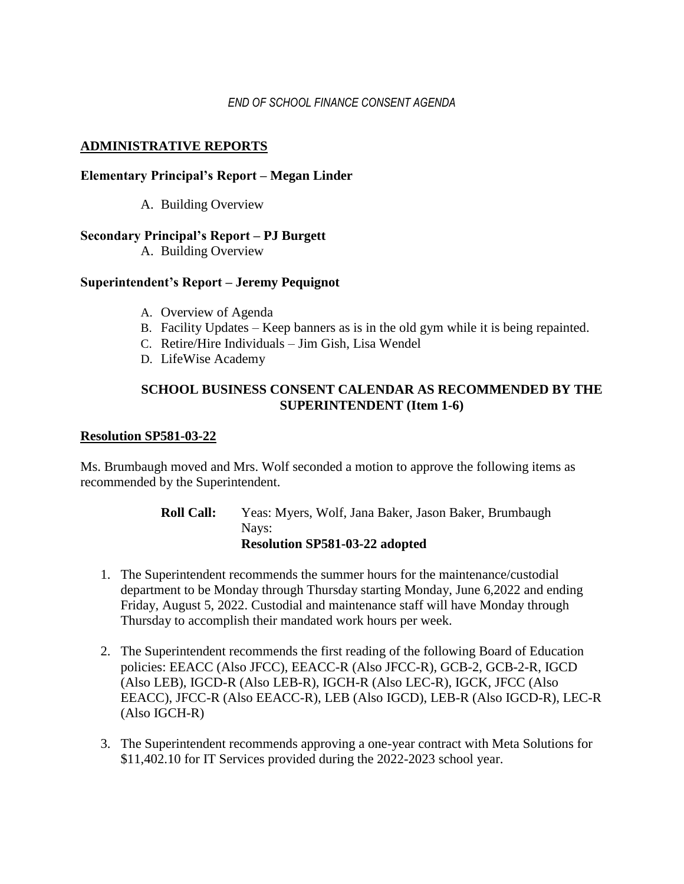## *END OF SCHOOL FINANCE CONSENT AGENDA*

## **ADMINISTRATIVE REPORTS**

## **Elementary Principal's Report – Megan Linder**

A. Building Overview

#### **Secondary Principal's Report – PJ Burgett**

A. Building Overview

#### **Superintendent's Report – Jeremy Pequignot**

- A. Overview of Agenda
- B. Facility Updates Keep banners as is in the old gym while it is being repainted.
- C. Retire/Hire Individuals Jim Gish, Lisa Wendel
- D. LifeWise Academy

# **SCHOOL BUSINESS CONSENT CALENDAR AS RECOMMENDED BY THE SUPERINTENDENT (Item 1-6)**

#### **Resolution SP581-03-22**

Ms. Brumbaugh moved and Mrs. Wolf seconded a motion to approve the following items as recommended by the Superintendent.

- **Roll Call:** Yeas: Myers, Wolf, Jana Baker, Jason Baker, Brumbaugh Nays: **Resolution SP581-03-22 adopted**
- 1. The Superintendent recommends the summer hours for the maintenance/custodial department to be Monday through Thursday starting Monday, June 6,2022 and ending Friday, August 5, 2022. Custodial and maintenance staff will have Monday through Thursday to accomplish their mandated work hours per week.
- 2. The Superintendent recommends the first reading of the following Board of Education policies: EEACC (Also JFCC), EEACC-R (Also JFCC-R), GCB-2, GCB-2-R, IGCD (Also LEB), IGCD-R (Also LEB-R), IGCH-R (Also LEC-R), IGCK, JFCC (Also EEACC), JFCC-R (Also EEACC-R), LEB (Also IGCD), LEB-R (Also IGCD-R), LEC-R (Also IGCH-R)
- 3. The Superintendent recommends approving a one-year contract with Meta Solutions for \$11,402.10 for IT Services provided during the 2022-2023 school year.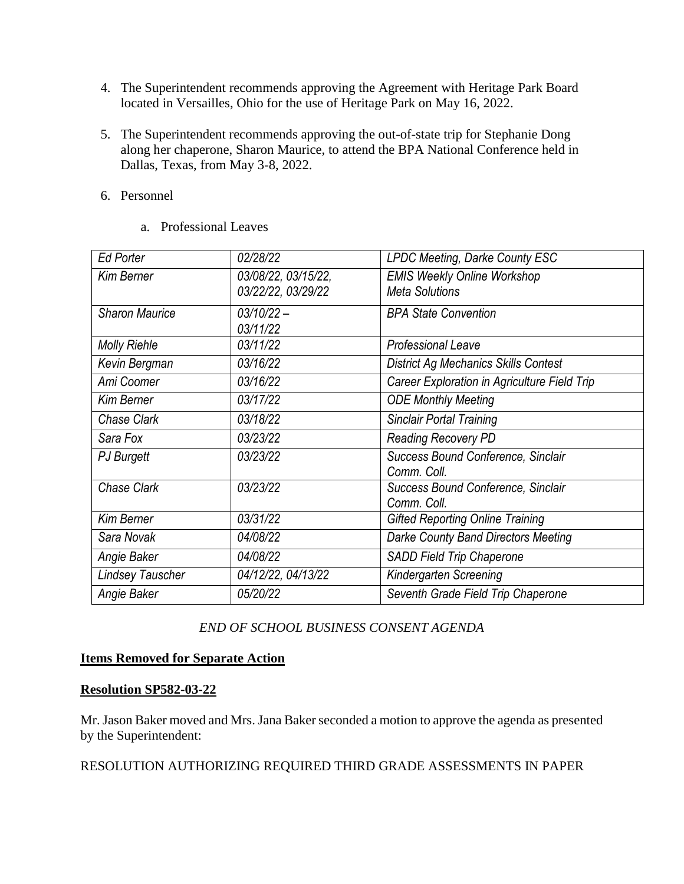- 4. The Superintendent recommends approving the Agreement with Heritage Park Board located in Versailles, Ohio for the use of Heritage Park on May 16, 2022.
- 5. The Superintendent recommends approving the out-of-state trip for Stephanie Dong along her chaperone, Sharon Maurice, to attend the BPA National Conference held in Dallas, Texas, from May 3-8, 2022.
- 6. Personnel
	- a. Professional Leaves

| <b>Ed Porter</b>        | 02/28/22            | LPDC Meeting, Darke County ESC               |
|-------------------------|---------------------|----------------------------------------------|
| <b>Kim Berner</b>       | 03/08/22, 03/15/22, | <b>EMIS Weekly Online Workshop</b>           |
|                         | 03/22/22, 03/29/22  | <b>Meta Solutions</b>                        |
| <b>Sharon Maurice</b>   | $03/10/22 -$        | <b>BPA State Convention</b>                  |
|                         | 03/11/22            |                                              |
| <b>Molly Riehle</b>     | 03/11/22            | <b>Professional Leave</b>                    |
| Kevin Bergman           | 03/16/22            | <b>District Ag Mechanics Skills Contest</b>  |
| Ami Coomer              | 03/16/22            | Career Exploration in Agriculture Field Trip |
| <b>Kim Berner</b>       | 03/17/22            | <b>ODE Monthly Meeting</b>                   |
| Chase Clark             | 03/18/22            | <b>Sinclair Portal Training</b>              |
| Sara Fox                | 03/23/22            | <b>Reading Recovery PD</b>                   |
| PJ Burgett              | 03/23/22            | Success Bound Conference, Sinclair           |
|                         |                     | Comm. Coll.                                  |
| Chase Clark             | 03/23/22            | Success Bound Conference, Sinclair           |
|                         |                     | Comm. Coll.                                  |
| <b>Kim Berner</b>       | 03/31/22            | <b>Gifted Reporting Online Training</b>      |
| Sara Novak              | 04/08/22            | Darke County Band Directors Meeting          |
| Angie Baker             | 04/08/22            | SADD Field Trip Chaperone                    |
| <b>Lindsey Tauscher</b> | 04/12/22, 04/13/22  | Kindergarten Screening                       |
| Angie Baker             | 05/20/22            | Seventh Grade Field Trip Chaperone           |

# *END OF SCHOOL BUSINESS CONSENT AGENDA*

## **Items Removed for Separate Action**

## **Resolution SP582-03-22**

Mr. Jason Baker moved and Mrs. Jana Baker seconded a motion to approve the agenda as presented by the Superintendent:

RESOLUTION AUTHORIZING REQUIRED THIRD GRADE ASSESSMENTS IN PAPER